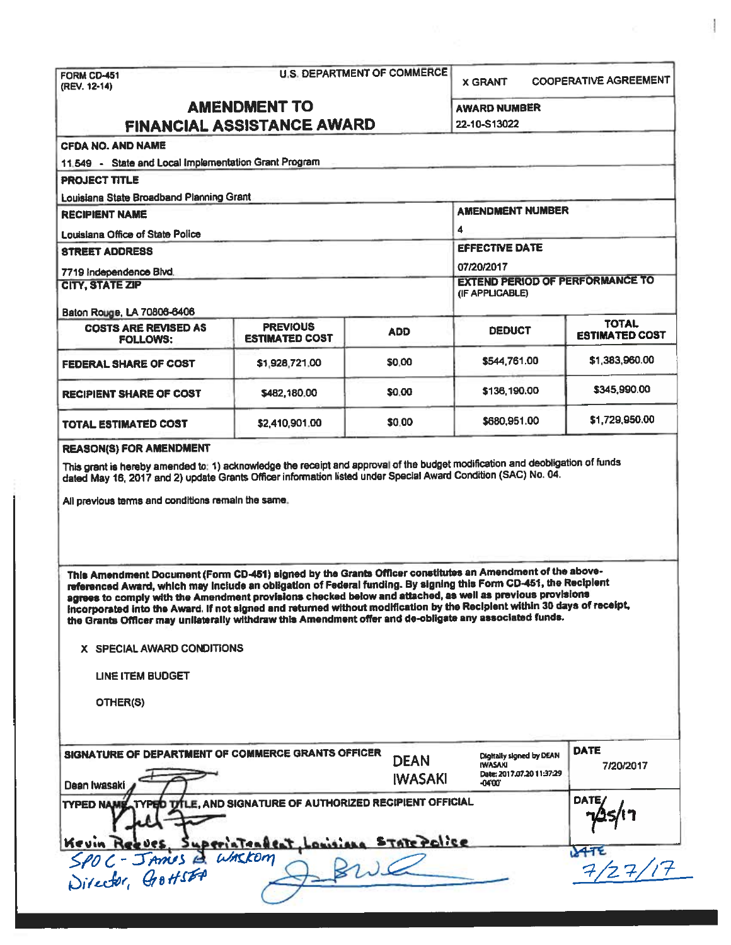| FORM CD-451<br>(REV. 12-14)                                                                                                                                                                                                                                                                                                                                                                                                                                                                                                                                                                                                                            |                                                       | <b>U.S. DEPARTMENT OF COMMERCE</b>                        | <b>X GRANT</b>                                                                              | <b>COOPERATIVE AGREEMENT</b>     |  |
|--------------------------------------------------------------------------------------------------------------------------------------------------------------------------------------------------------------------------------------------------------------------------------------------------------------------------------------------------------------------------------------------------------------------------------------------------------------------------------------------------------------------------------------------------------------------------------------------------------------------------------------------------------|-------------------------------------------------------|-----------------------------------------------------------|---------------------------------------------------------------------------------------------|----------------------------------|--|
| <b>AMENDMENT TO</b><br>FINANCIAL ASSISTANCE AWARD                                                                                                                                                                                                                                                                                                                                                                                                                                                                                                                                                                                                      |                                                       |                                                           | <b>AWARD NUMBER</b><br><b>22-10-S13022</b>                                                  |                                  |  |
| <b>CFDA NO. AND NAME</b>                                                                                                                                                                                                                                                                                                                                                                                                                                                                                                                                                                                                                               |                                                       |                                                           |                                                                                             |                                  |  |
| 11.549 - State and Local Implementation Grant Program                                                                                                                                                                                                                                                                                                                                                                                                                                                                                                                                                                                                  |                                                       |                                                           |                                                                                             |                                  |  |
| <b>PROJECT TITLE</b>                                                                                                                                                                                                                                                                                                                                                                                                                                                                                                                                                                                                                                   |                                                       |                                                           |                                                                                             |                                  |  |
| Louisiana State Broadband Planning Grant                                                                                                                                                                                                                                                                                                                                                                                                                                                                                                                                                                                                               |                                                       |                                                           |                                                                                             |                                  |  |
| <b>RECIPIENT NAME</b>                                                                                                                                                                                                                                                                                                                                                                                                                                                                                                                                                                                                                                  |                                                       |                                                           | <b>AMENDMENT NUMBER</b>                                                                     |                                  |  |
| Louisiana Office of State Police                                                                                                                                                                                                                                                                                                                                                                                                                                                                                                                                                                                                                       |                                                       |                                                           | 4                                                                                           |                                  |  |
| <b>STREET ADDRESS</b>                                                                                                                                                                                                                                                                                                                                                                                                                                                                                                                                                                                                                                  |                                                       |                                                           | <b>EFFECTIVE DATE</b>                                                                       |                                  |  |
| 7719 Independence Blvd.                                                                                                                                                                                                                                                                                                                                                                                                                                                                                                                                                                                                                                |                                                       |                                                           | 07/20/2017                                                                                  |                                  |  |
| <b>CITY, STATE ZIP</b>                                                                                                                                                                                                                                                                                                                                                                                                                                                                                                                                                                                                                                 |                                                       | <b>EXTEND PERIOD OF PERFORMANCE TO</b><br>(IF APPLICABLE) |                                                                                             |                                  |  |
| Baton Rouge, LA 70806-6406                                                                                                                                                                                                                                                                                                                                                                                                                                                                                                                                                                                                                             |                                                       |                                                           |                                                                                             | <b>TOTAL</b>                     |  |
| <b>COSTS ARE REVISED AS</b><br><b>FOLLOWS:</b>                                                                                                                                                                                                                                                                                                                                                                                                                                                                                                                                                                                                         | <b>PREVIOUS</b><br><b>ESTIMATED COST</b>              | <b>ADD</b>                                                | <b>DEDUCT</b>                                                                               | <b>ESTIMATED COST</b>            |  |
| <b>FEDERAL SHARE OF COST</b>                                                                                                                                                                                                                                                                                                                                                                                                                                                                                                                                                                                                                           | \$1,928,721.00                                        | \$0.00                                                    | \$544,761.00                                                                                | \$1,383,960.00                   |  |
| <b>RECIPIENT SHARE OF COST</b>                                                                                                                                                                                                                                                                                                                                                                                                                                                                                                                                                                                                                         | \$482,180.00                                          | \$0.00                                                    | \$136,190.00                                                                                | \$345,990.00                     |  |
| TOTAL ESTIMATED COST                                                                                                                                                                                                                                                                                                                                                                                                                                                                                                                                                                                                                                   | \$2,410,901.00                                        | \$0.00                                                    | \$680,951.00                                                                                | \$1,729,950.00                   |  |
|                                                                                                                                                                                                                                                                                                                                                                                                                                                                                                                                                                                                                                                        |                                                       |                                                           |                                                                                             |                                  |  |
| This Amendment Document (Form CD-451) signed by the Grants Officer constitutes an Amendment of the above-<br>referenced Award, which may include an obligation of Federal funding. By signing this Form CD-451, the Reciplent<br>agrees to comply with the Amendment provisions checked below and attached, as well as previous provisions<br>incorporated into the Award. If not signed and returned without modification by the Recipient within 30 days of receipt,<br>the Grants Officer may unilaterally withdraw this Amendment offer and de-obligate any associated funds.<br>X SPECIAL AWARD CONDITIONS<br><b>LINE ITEM BUDGET</b><br>OTHER(S) |                                                       |                                                           |                                                                                             |                                  |  |
| SIGNATURE OF DEPARTMENT OF COMMERCE GRANTS OFFICER<br>Dean Iwasaki<br>TYPED NAM                                                                                                                                                                                                                                                                                                                                                                                                                                                                                                                                                                        | TITLE, AND SIGNATURE OF AUTHORIZED RECIPIENT OFFICIAL | <b>DEAN</b><br><b>IWASAKI</b>                             | <b>Digitally signed by DEAN</b><br><b>IWASAKI</b><br>Date: 2017.07.20 11:37:29<br>$-04'00'$ | <b>DATE</b><br>7/20/2017<br>DATI |  |
| <b>Kevin</b>                                                                                                                                                                                                                                                                                                                                                                                                                                                                                                                                                                                                                                           | Superiateabeat, Louisiana STATE Police                |                                                           |                                                                                             |                                  |  |
| SPOC-JAmes & WASKOM                                                                                                                                                                                                                                                                                                                                                                                                                                                                                                                                                                                                                                    |                                                       |                                                           |                                                                                             | 7/27/                            |  |

ł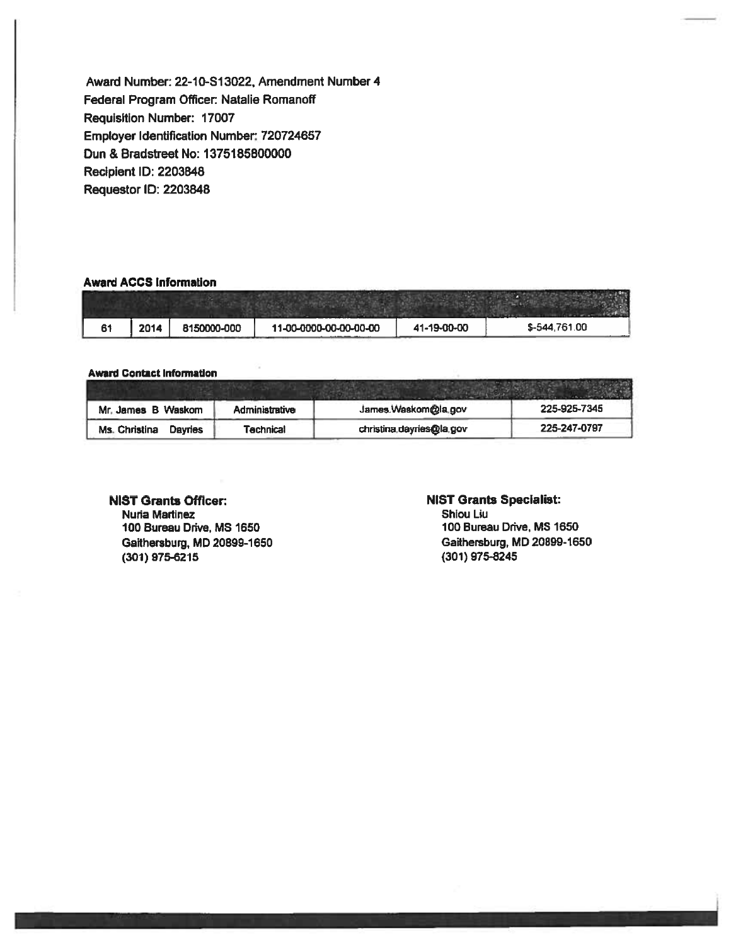**Award** Number: 22-10-S13022, Amendment Number 4 Federal Program Officer: Natalie Romanoff Requisition Number: 17007 Employer Identification Number.: 720724657 Oun & Bradstreet No: 1375185800000 Recipient ID: 2203848 Requestor ID: 2203848

#### **Award ACCS Information**

| 61 | 2014 | 8150000-000 | 11-00-0000-00-00-00-00 | 41-19-00-00 | \$-544,761.00 |
|----|------|-------------|------------------------|-------------|---------------|

#### Award Contact Information

| Mr. James B Waskom       | Administrative | James.Waskom@la.gov      | 225-925-7345 |
|--------------------------|----------------|--------------------------|--------------|
| Ms. Christina<br>Davries | Technical      | christina.dayries@la.gov | 225-247-0797 |

## NIST **Grants** Officer:

Nuria Martinez 100 Bureau Drive, MS 1650 Gaithersburg, MD 20899-1650 (301) 975-6215

### **NIST Grants Specialist:**

Shiou Liu 100 Bureau Drive, MS 1650 Gaithersburg, MD 20899-1650 (301) **975-8245**